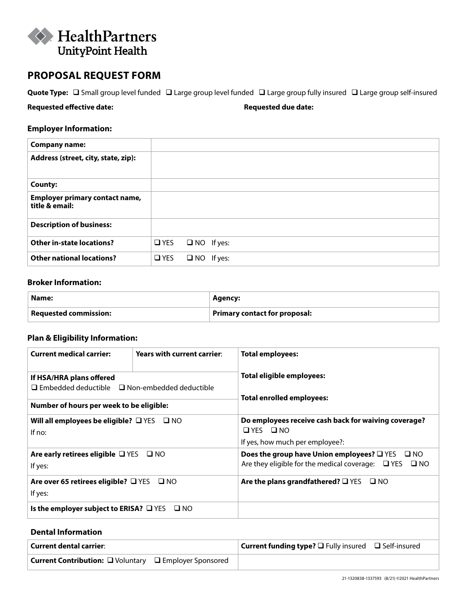

## **PROPOSAL REQUEST FORM**

Quote Type:  $\Box$  Small group level funded  $\Box$  Large group level funded  $\Box$  Large group fully insured  $\Box$  Large group self-insured

**Requested effective date: Requested due date:**

## **Employer Information:**

| <b>Company name:</b>                                    |               |                   |  |
|---------------------------------------------------------|---------------|-------------------|--|
| Address (street, city, state, zip):                     |               |                   |  |
| <b>County:</b>                                          |               |                   |  |
| <b>Employer primary contact name,</b><br>title & email: |               |                   |  |
| <b>Description of business:</b>                         |               |                   |  |
| <b>Other in-state locations?</b>                        | $\square$ YES | $\Box$ NO If yes: |  |
| <b>Other national locations?</b>                        | $\Box$ YES    | $\Box$ NO If yes: |  |

## **Broker Information:**

| Name:                                | Agency:                       |
|--------------------------------------|-------------------------------|
| $\mathsf{I}\,$ Requested commission: | Primary contact for proposal: |

## **Plan & Eligibility Information:**

| <b>Current medical carrier:</b>                                  | Years with current carrier: | <b>Total employees:</b>                                                      |  |  |  |  |
|------------------------------------------------------------------|-----------------------------|------------------------------------------------------------------------------|--|--|--|--|
| If HSA/HRA plans offered                                         |                             | Total eligible employees:                                                    |  |  |  |  |
| $\Box$ Embedded deductible $\Box$ Non-embedded deductible        |                             | Total enrolled employees:                                                    |  |  |  |  |
| Number of hours per week to be eligible:                         |                             |                                                                              |  |  |  |  |
| Will all employees be eligible? $\Box$ YES $\Box$ NO<br>If $no:$ |                             | Do employees receive cash back for waiving coverage?<br>$\Box$ YES $\Box$ NO |  |  |  |  |
|                                                                  |                             | If yes, how much per employee?:                                              |  |  |  |  |
| Are early retirees eligible $\Box$ YES $\Box$ NO                 |                             | Does the group have Union employees? $\square$ YES $\square$ NO              |  |  |  |  |
| If yes:                                                          |                             | Are they eligible for the medical coverage: $\Box$ YES $\Box$ NO             |  |  |  |  |
| Are over 65 retirees eligible? $\Box$ YES $\Box$ NO              |                             | Are the plans grandfathered? $\square$ YES<br>$\square$ NO                   |  |  |  |  |
| If yes:                                                          |                             |                                                                              |  |  |  |  |
| Is the employer subject to ERISA? $\Box$ YES                     | $\square$ NO                |                                                                              |  |  |  |  |
|                                                                  |                             |                                                                              |  |  |  |  |

## **Dental Information**

| <b>Current dental carrier:</b>                                | <b>Current funding type?</b> $\square$ Fully insured $\square$ Self-insured |
|---------------------------------------------------------------|-----------------------------------------------------------------------------|
| <b>Current Contribution:</b> □ Voluntary □ Employer Sponsored |                                                                             |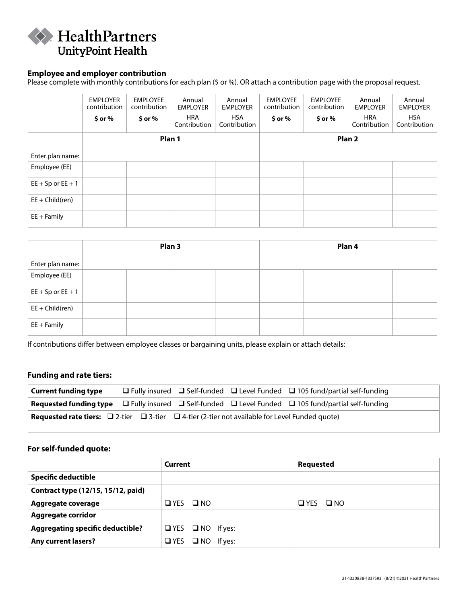

#### **Employee and employer contribution**

Please complete with monthly contributions for each plan (\$ or %). OR attach a contribution page with the proposal request.

|                       | <b>EMPLOYER</b><br>contribution<br>$$$ or $%$ | <b>EMPLOYEE</b><br>contribution<br>$$$ or $%$ | Annual<br><b>EMPLOYER</b><br><b>HRA</b><br>Contribution | Annual<br><b>EMPLOYER</b><br><b>HSA</b><br>Contribution | <b>EMPLOYEE</b><br>contribution<br>$$$ or $%$ | <b>EMPLOYEE</b><br>contribution<br>$$$ or $%$ | Annual<br><b>EMPLOYER</b><br><b>HRA</b><br>Contribution | Annual<br><b>EMPLOYER</b><br>HSA<br>Contribution |
|-----------------------|-----------------------------------------------|-----------------------------------------------|---------------------------------------------------------|---------------------------------------------------------|-----------------------------------------------|-----------------------------------------------|---------------------------------------------------------|--------------------------------------------------|
|                       |                                               | Plan 1                                        |                                                         |                                                         |                                               |                                               | Plan <sub>2</sub>                                       |                                                  |
| Enter plan name:      |                                               |                                               |                                                         |                                                         |                                               |                                               |                                                         |                                                  |
| Employee (EE)         |                                               |                                               |                                                         |                                                         |                                               |                                               |                                                         |                                                  |
| $EE + Sp$ or $EE + 1$ |                                               |                                               |                                                         |                                                         |                                               |                                               |                                                         |                                                  |
| $EE + Child (ren)$    |                                               |                                               |                                                         |                                                         |                                               |                                               |                                                         |                                                  |
| $EE + Family$         |                                               |                                               |                                                         |                                                         |                                               |                                               |                                                         |                                                  |

|                       | Plan <sub>3</sub> |  |  | Plan 4 |  |  |  |
|-----------------------|-------------------|--|--|--------|--|--|--|
| Enter plan name:      |                   |  |  |        |  |  |  |
| Employee (EE)         |                   |  |  |        |  |  |  |
| $EE + Sp$ or $EE + 1$ |                   |  |  |        |  |  |  |
| $EE + Child(ren)$     |                   |  |  |        |  |  |  |
| $EE + Family$         |                   |  |  |        |  |  |  |

If contributions differ between employee classes or bargaining units, please explain or attach details:

#### **Funding and rate tiers:**

| <b>Current funding type</b>                                                                                          |  | $\Box$ Fully insured $\Box$ Self-funded $\Box$ Level Funded $\Box$ 105 fund/partial self-funding                               |
|----------------------------------------------------------------------------------------------------------------------|--|--------------------------------------------------------------------------------------------------------------------------------|
|                                                                                                                      |  | <b>Requested funding type</b> $\Box$ Fully insured $\Box$ Self-funded $\Box$ Level Funded $\Box$ 105 fund/partial self-funding |
| <b>Requested rate tiers:</b> $\Box$ 2-tier $\Box$ 3-tier $\Box$ 4-tier (2-tier not available for Level Funded quote) |  |                                                                                                                                |

#### **For self-funded quote:**

|                                         | Current                      | <b>Requested</b> |
|-----------------------------------------|------------------------------|------------------|
| <b>Specific deductible</b>              |                              |                  |
| Contract type (12/15, 15/12, paid)      |                              |                  |
| Aggregate coverage                      | $QYES$ $QNO$                 | OYES ONO         |
| <b>Aggregate corridor</b>               |                              |                  |
| <b>Aggregating specific deductible?</b> | $\Box$ YES $\Box$ NO If yes: |                  |
| <b>Any current lasers?</b>              | $\Box$ YES $\Box$ NO If yes: |                  |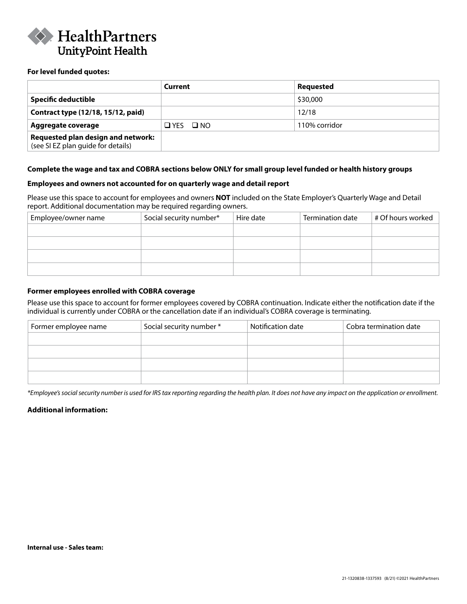

#### **For level funded quotes:**

|                                                                          | Current              | Requested     |
|--------------------------------------------------------------------------|----------------------|---------------|
| <b>Specific deductible</b>                                               |                      | \$30,000      |
| Contract type (12/18, 15/12, paid)                                       |                      | 12/18         |
| Aggregate coverage                                                       | $\Box$ YES $\Box$ NO | 110% corridor |
| Requested plan design and network:<br>(see SI EZ plan guide for details) |                      |               |

#### **Complete the wage and tax and COBRA sections below ONLY for small group level funded or health history groups**

#### **Employees and owners not accounted for on quarterly wage and detail report**

Please use this space to account for employees and owners **NOT** included on the State Employer's Quarterly Wage and Detail report. Additional documentation may be required regarding owners.

| Employee/owner name | Social security number* | Hire date | Termination date | # Of hours worked |
|---------------------|-------------------------|-----------|------------------|-------------------|
|                     |                         |           |                  |                   |
|                     |                         |           |                  |                   |
|                     |                         |           |                  |                   |
|                     |                         |           |                  |                   |
|                     |                         |           |                  |                   |

#### **Former employees enrolled with COBRA coverage**

Please use this space to account for former employees covered by COBRA continuation. Indicate either the notification date if the individual is currently under COBRA or the cancellation date if an individual's COBRA coverage is terminating.

| Former employee name | Social security number * | Notification date | Cobra termination date |
|----------------------|--------------------------|-------------------|------------------------|
|                      |                          |                   |                        |
|                      |                          |                   |                        |
|                      |                          |                   |                        |
|                      |                          |                   |                        |

*\*Employee's social security number is used for IRS tax reporting regarding the health plan. It does not have any impact on the application or enrollment.*

#### **Additional information:**